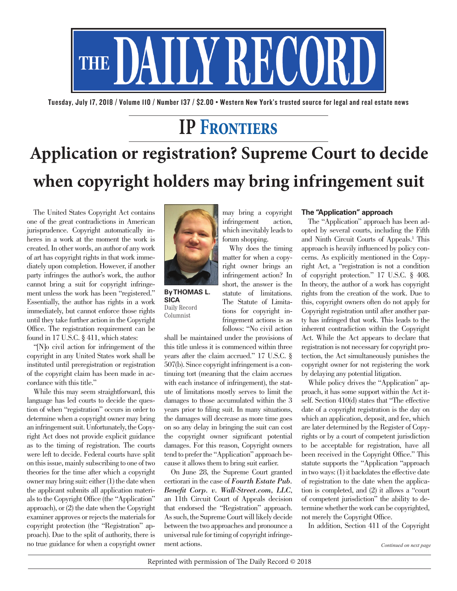

Tuesday, July 17, 2018 / Volume 110 / Number 137 / \$2.00 • Western New York's trusted source for legal and real estate news

# **IP Frontiers**

# **Application or registration? Supreme Court to decide when copyright holders may bring infringement suit**

The United States Copyright Act contains one of the great contradictions in American jurisprudence. Copyright automatically inheres in a work at the moment the work is created. In other words, an author of any work of art has copyright rights in that work immediately upon completion. However, if another party infringes the author's work, the author cannot bring a suit for copyright infringement unless the work has been "registered." Essentially, the author has rights in a work immediately, but cannot enforce those rights until they take further action in the Copyright Office. The registration requirement can be found in 17 U.S.C. § 411, which states:

"[N]o civil action for infringement of the copyright in any United States work shall be instituted until preregistration or registration of the copyright claim has been made in accordance with this title."

While this may seem straightforward, this language has led courts to decide the question of when "registration" occurs in order to determine when a copyright owner may bring an infringement suit. Unfortunately, the Copyright Act does not provide explicit guidance as to the timing of registration. The courts were left to decide. Federal courts have split on this issue, mainly subscribing to one of two theories for the time after which a copyright owner may bring suit: either (1) the date when the applicant submits all application materials to the Copyright Office (the "Application" approach), or (2) the date when the Copyright examiner approves or rejects the materials for copyright protection (the "Registration" approach). Due to the split of authority, there is no true guidance for when a copyright owner



**By THOMAS L. SICA** Daily Record Columnist

may bring a copyright infringement action, which inevitably leads to forum shopping. Why does the timing

matter for when a copyright owner brings an infringement action? In short, the answer is the statute of limitations. The Statute of Limitations for copyright infringement actions is as follows: "No civil action

shall be maintained under the provisions of this title unless it is commenced within three years after the claim accrued." 17 U.S.C. § 507(b). Since copyright infringement is a continuing tort (meaning that the claim accrues with each instance of infringement), the statute of limitations mostly serves to limit the damages to those accumulated within the 3 years prior to filing suit. In many situations, the damages will decrease as more time goes on so any delay in bringing the suit can cost the copyright owner significant potential damages. For this reason, Copyright owners tend to prefer the "Application" approach because it allows them to bring suit earlier.

On June 28, the Supreme Court granted certiorari in the case of *Fourth Estate Pub. Benefit Corp. v. Wall-Street.com, LLC*, an 11th Circuit Court of Appeals decision that endorsed the "Registration" approach. As such, the Supreme Court will likely decide between the two approaches and pronounce a universal rule for timing of copyright infringement actions.

### **The "Application" approach**

The "Application" approach has been adopted by several courts, including the Fifth and Ninth Circuit Courts of Appeals.<sup>1</sup> This approach is heavily influenced by policy concerns. As explicitly mentioned in the Copyright Act, a "registration is not a condition of copyright protection." 17 U.S.C. § 408. In theory, the author of a work has copyright rights from the creation of the work. Due to this, copyright owners often do not apply for Copyright registration until after another party has infringed that work. This leads to the inherent contradiction within the Copyright Act. While the Act appears to declare that registration is not necessary for copyright protection, the Act simultaneously punishes the copyright owner for not registering the work by delaying any potential litigation.

While policy drives the "Application" approach, it has some support within the Act itself. Section 410(d) states that "The effective date of a copyright registration is the day on which an application, deposit, and fee, which are later determined by the Register of Copyrights or by a court of competent jurisdiction to be acceptable for registration, have all been received in the Copyright Office." This statute supports the "Application "approach in two ways: (1) it backdates the effective date of registration to the date when the application is completed, and (2) it allows a "court of competent jurisdiction" the ability to determine whether the work can be copyrighted, not merely the Copyright Office.

In addition, Section 411 of the Copyright